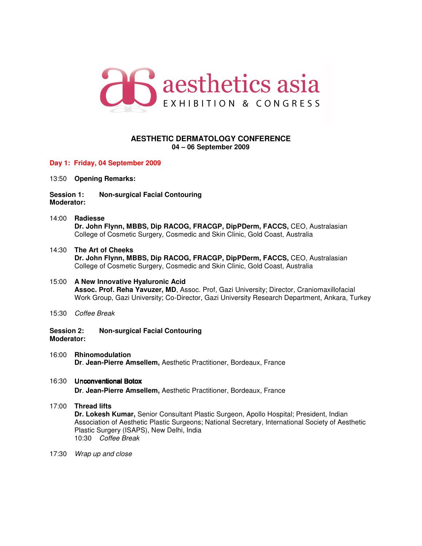

# **AESTHETIC DERMATOLOGY CONFERENCE 04 – 06 September 2009**

## **Day 1: Friday, 04 September 2009**

13:50 **Opening Remarks:**

**Session 1: Non-surgical Facial Contouring Moderator:** 

- 14:00 **Radiesse Dr. John Flynn, MBBS, Dip RACOG, FRACGP, DipPDerm, FACCS,** CEO, Australasian College of Cosmetic Surgery, Cosmedic and Skin Clinic, Gold Coast, Australia
- 14:30 **The Art of Cheeks Dr. John Flynn, MBBS, Dip RACOG, FRACGP, DipPDerm, FACCS,** CEO, Australasian College of Cosmetic Surgery, Cosmedic and Skin Clinic, Gold Coast, Australia
- 15:00 **A New Innovative Hyaluronic Acid Assoc. Prof. Reha Yavuzer, MD**, Assoc. Prof, Gazi University; Director, Craniomaxillofacial Work Group, Gazi University; Co-Director, Gazi University Research Department, Ankara, Turkey
- 15:30 Coffee Break
- **Session 2: Non-surgical Facial Contouring Moderator:**
- 16:00 **Rhinomodulation Dr**. **Jean-Pierre Amsellem,** Aesthetic Practitioner, Bordeaux, France

# 16:30 Unconventional Botox **Dr**. **Jean-Pierre Amsellem,** Aesthetic Practitioner, Bordeaux, France

#### 17:00 **Thread lifts Dr. Lokesh Kumar,** Senior Consultant Plastic Surgeon, Apollo Hospital; President, Indian Association of Aesthetic Plastic Surgeons; National Secretary, International Society of Aesthetic Plastic Surgery (ISAPS), New Delhi, India 10:30 Coffee Break

17:30 Wrap up and close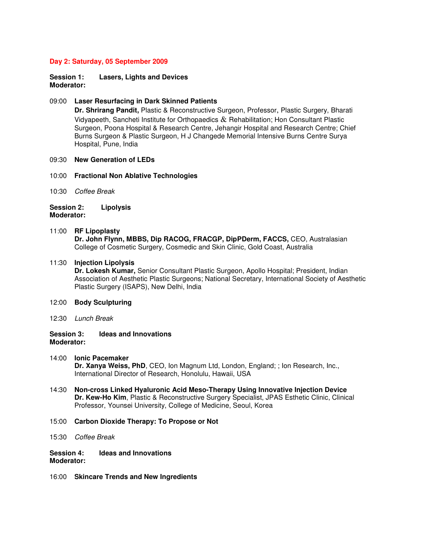#### **Day 2: Saturday, 05 September 2009**

**Session 1: Lasers, Lights and Devices Moderator:** 

#### 09:00 **Laser Resurfacing in Dark Skinned Patients**

**Dr. Shrirang Pandit,** Plastic & Reconstructive Surgeon, Professor, Plastic Surgery, Bharati Vidyapeeth, Sancheti Institute for Orthopaedics  $\&$  Rehabilitation; Hon Consultant Plastic Surgeon, Poona Hospital & Research Centre, Jehangir Hospital and Research Centre; Chief Burns Surgeon & Plastic Surgeon, H J Changede Memorial Intensive Burns Centre Surya Hospital, Pune, India

#### 09:30 **New Generation of LEDs**

#### 10:00 **Fractional Non Ablative Technologies**

10:30 Coffee Break

#### **Session 2: Lipolysis Moderator:**

# 11:00 **RF Lipoplasty**

**Dr. John Flynn, MBBS, Dip RACOG, FRACGP, DipPDerm, FACCS,** CEO, Australasian College of Cosmetic Surgery, Cosmedic and Skin Clinic, Gold Coast, Australia

#### 11:30 **Injection Lipolysis**

**Dr. Lokesh Kumar,** Senior Consultant Plastic Surgeon, Apollo Hospital; President, Indian Association of Aesthetic Plastic Surgeons; National Secretary, International Society of Aesthetic Plastic Surgery (ISAPS), New Delhi, India

#### 12:00 **Body Sculpturing**

12:30 Lunch Break

## **Session 3: Ideas and Innovations Moderator:**

- 14:00 **Ionic Pacemaker Dr. Xanya Weiss, PhD**, CEO, Ion Magnum Ltd, London, England; ; Ion Research, Inc., International Director of Research, Honolulu, Hawaii, USA
- 14:30 **Non-cross Linked Hyaluronic Acid Meso-Therapy Using Innovative Injection Device Dr. Kew-Ho Kim**, Plastic & Reconstructive Surgery Specialist, JPAS Esthetic Clinic, Clinical Professor, Younsei University, College of Medicine, Seoul, Korea
- 15:00 **Carbon Dioxide Therapy: To Propose or Not**
- 15:30 Coffee Break
- **Session 4: Ideas and Innovations Moderator:**
- 16:00 **Skincare Trends and New Ingredients**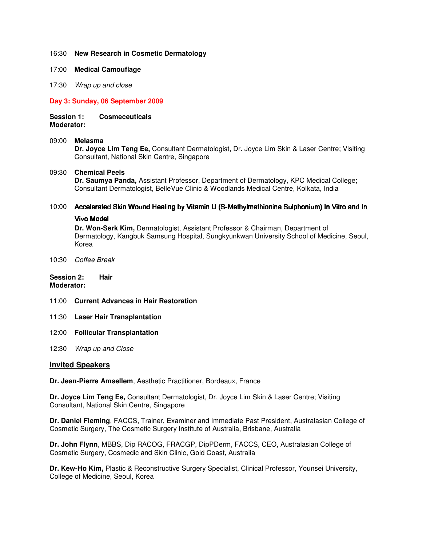## 16:30 **New Research in Cosmetic Dermatology**

- 17:00 **Medical Camouflage**
- 17:30 Wrap up and close

## **Day 3: Sunday, 06 September 2009**

# **Session 1: Cosmeceuticals**

**Moderator:** 

## 09:00 **Melasma**

**Dr. Joyce Lim Teng Ee,** Consultant Dermatologist, Dr. Joyce Lim Skin & Laser Centre; Visiting Consultant, National Skin Centre, Singapore

## 09:30 **Chemical Peels**

**Dr. Saumya Panda,** Assistant Professor, Department of Dermatology, KPC Medical College; Consultant Dermatologist, BelleVue Clinic & Woodlands Medical Centre, Kolkata, India

## 10:00 Accelerated Skin Wound Healing by Vitamin U (S-Methylmethionine Sulphonium) In Vitro and In

#### Vivo Model

**Dr. Won-Serk Kim,** Dermatologist, Assistant Professor & Chairman, Department of Dermatology, Kangbuk Samsung Hospital, Sungkyunkwan University School of Medicine, Seoul, Korea

10:30 Coffee Break

#### **Session 2: Hair Moderator:**

- 11:00 **Current Advances in Hair Restoration**
- 11:30 **Laser Hair Transplantation**
- 12:00 **Follicular Transplantation**
- 12:30 Wrap up and Close

## **Invited Speakers**

**Dr. Jean-Pierre Amsellem**, Aesthetic Practitioner, Bordeaux, France

**Dr. Joyce Lim Teng Ee,** Consultant Dermatologist, Dr. Joyce Lim Skin & Laser Centre; Visiting Consultant, National Skin Centre, Singapore

**Dr. Daniel Fleming**, FACCS, Trainer, Examiner and Immediate Past President, Australasian College of Cosmetic Surgery, The Cosmetic Surgery Institute of Australia, Brisbane, Australia

**Dr. John Flynn**, MBBS, Dip RACOG, FRACGP, DipPDerm, FACCS, CEO, Australasian College of Cosmetic Surgery, Cosmedic and Skin Clinic, Gold Coast, Australia

**Dr. Kew-Ho Kim,** Plastic & Reconstructive Surgery Specialist, Clinical Professor, Younsei University, College of Medicine, Seoul, Korea